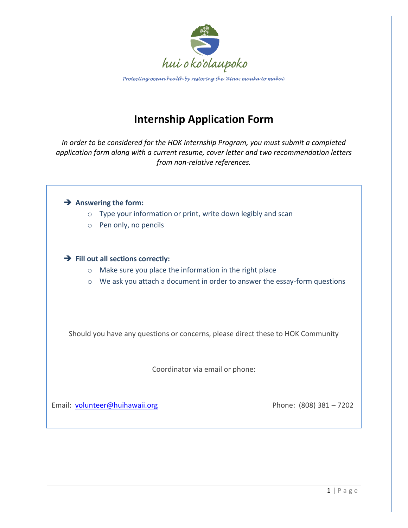

Protecting ocean health by restoring the 'āina: mauka to makai

## **Internship Application Form**

*In order to be considered for the HOK Internship Program, you must submit a completed application form along with a current resume, cover letter and two recommendation letters from non-relative references.* 

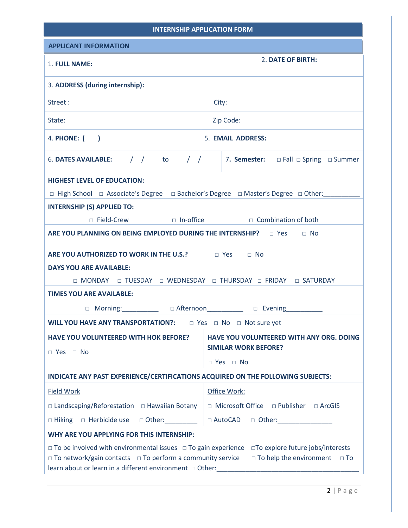| <b>INTERNSHIP APPLICATION FORM</b>                                                                                                                                                                                                                                                                                                |                                                                                                                                 |
|-----------------------------------------------------------------------------------------------------------------------------------------------------------------------------------------------------------------------------------------------------------------------------------------------------------------------------------|---------------------------------------------------------------------------------------------------------------------------------|
| <b>APPLICANT INFORMATION</b>                                                                                                                                                                                                                                                                                                      |                                                                                                                                 |
| 1. FULL NAME:                                                                                                                                                                                                                                                                                                                     | 2. DATE OF BIRTH:                                                                                                               |
| 3. ADDRESS (during internship):                                                                                                                                                                                                                                                                                                   |                                                                                                                                 |
| Street:<br>City:                                                                                                                                                                                                                                                                                                                  |                                                                                                                                 |
| Zip Code:<br>State:                                                                                                                                                                                                                                                                                                               |                                                                                                                                 |
| 4. PHONE: $($                                                                                                                                                                                                                                                                                                                     | 5. EMAIL ADDRESS:                                                                                                               |
|                                                                                                                                                                                                                                                                                                                                   |                                                                                                                                 |
|                                                                                                                                                                                                                                                                                                                                   | 6. DATES AVAILABLE: $\left/ \right/ \right/ \left/ \right/ \left/ \right/$ 7. Semester: $\Box$ Fall $\Box$ Spring $\Box$ Summer |
| <b>HIGHEST LEVEL OF EDUCATION:</b>                                                                                                                                                                                                                                                                                                |                                                                                                                                 |
| □ High School □ Associate's Degree □ Bachelor's Degree □ Master's Degree □ Other:                                                                                                                                                                                                                                                 |                                                                                                                                 |
| <b>INTERNSHIP (S) APPLIED TO:</b>                                                                                                                                                                                                                                                                                                 |                                                                                                                                 |
| □ Field-Crew □ In-office □ Combination of both                                                                                                                                                                                                                                                                                    |                                                                                                                                 |
| ARE YOU PLANNING ON BEING EMPLOYED DURING THE INTERNSHIP? $\Box$ Yes $\Box$ No                                                                                                                                                                                                                                                    |                                                                                                                                 |
| ARE YOU AUTHORIZED TO WORK IN THE U.S.? DEVES ON NO                                                                                                                                                                                                                                                                               |                                                                                                                                 |
| <b>DAYS YOU ARE AVAILABLE:</b>                                                                                                                                                                                                                                                                                                    |                                                                                                                                 |
| □ MONDAY □ TUESDAY □ WEDNESDAY □ THURSDAY □ FRIDAY □ SATURDAY                                                                                                                                                                                                                                                                     |                                                                                                                                 |
| <b>TIMES YOU ARE AVAILABLE:</b>                                                                                                                                                                                                                                                                                                   |                                                                                                                                 |
| □ Morning: __________ □ Afternoon_________ □ Evening_                                                                                                                                                                                                                                                                             |                                                                                                                                 |
| <b>WILL YOU HAVE ANY TRANSPORTATION?:</b><br>$\Box$ Yes $\Box$ No $\Box$ Not sure yet                                                                                                                                                                                                                                             |                                                                                                                                 |
| <b>HAVE YOU VOLUNTEERED WITH HOK BEFORE?</b>                                                                                                                                                                                                                                                                                      | HAVE YOU VOLUNTEERED WITH ANY ORG. DOING<br><b>SIMILAR WORK BEFORE?</b>                                                         |
| $\Box$ Yes $\Box$ No                                                                                                                                                                                                                                                                                                              | □ Yes □ No                                                                                                                      |
| INDICATE ANY PAST EXPERIENCE/CERTIFICATIONS ACQUIRED ON THE FOLLOWING SUBJECTS:                                                                                                                                                                                                                                                   |                                                                                                                                 |
| <b>Field Work</b>                                                                                                                                                                                                                                                                                                                 | Office Work:                                                                                                                    |
| $\Box$ Landscaping/Reforestation $\Box$ Hawaiian Botany                                                                                                                                                                                                                                                                           | □ Microsoft Office □ Publisher □ ArcGIS                                                                                         |
| □ Hiking □ Herbicide use □ Other: ________                                                                                                                                                                                                                                                                                        | □ AutoCAD □ Other: ________________                                                                                             |
| WHY ARE YOU APPLYING FOR THIS INTERNSHIP:                                                                                                                                                                                                                                                                                         |                                                                                                                                 |
| $\Box$ To be involved with environmental issues $\Box$ To gain experience $\Box$ To explore future jobs/interests<br>$\Box$ To network/gain contacts $\Box$ To perform a community service<br>$\Box$ To help the environment $\Box$ To<br>learn about or learn in a different environment □ Other: ______________________________ |                                                                                                                                 |